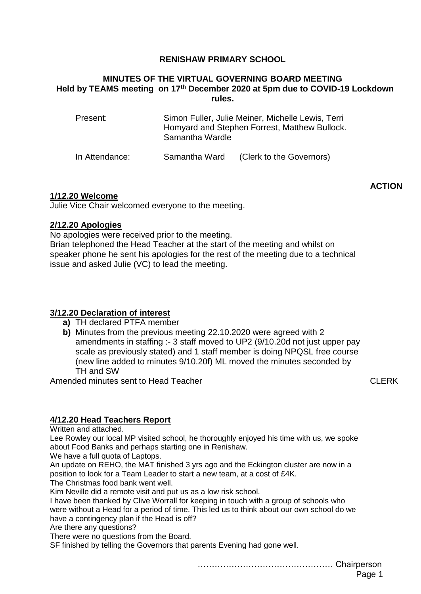## **RENISHAW PRIMARY SCHOOL**

### **MINUTES OF THE VIRTUAL GOVERNING BOARD MEETING Held by TEAMS meeting on 17th December 2020 at 5pm due to COVID-19 Lockdown rules.**

| Present: | Simon Fuller, Julie Meiner, Michelle Lewis, Terri |
|----------|---------------------------------------------------|
|          | Homyard and Stephen Forrest, Matthew Bullock.     |
|          | Samantha Wardle                                   |
|          |                                                   |

In Attendance: Samantha Ward (Clerk to the Governors)

|                                                                                                                                                                                                                                                                                                                                                                                                                                                                                                                                                                                                                                                                                                                                                                                                                                                                                                                       | <b>ACTION</b> |  |
|-----------------------------------------------------------------------------------------------------------------------------------------------------------------------------------------------------------------------------------------------------------------------------------------------------------------------------------------------------------------------------------------------------------------------------------------------------------------------------------------------------------------------------------------------------------------------------------------------------------------------------------------------------------------------------------------------------------------------------------------------------------------------------------------------------------------------------------------------------------------------------------------------------------------------|---------------|--|
| <b>1/12.20 Welcome</b><br>Julie Vice Chair welcomed everyone to the meeting.                                                                                                                                                                                                                                                                                                                                                                                                                                                                                                                                                                                                                                                                                                                                                                                                                                          |               |  |
| 2/12.20 Apologies<br>No apologies were received prior to the meeting.<br>Brian telephoned the Head Teacher at the start of the meeting and whilst on<br>speaker phone he sent his apologies for the rest of the meeting due to a technical<br>issue and asked Julie (VC) to lead the meeting.                                                                                                                                                                                                                                                                                                                                                                                                                                                                                                                                                                                                                         |               |  |
| 3/12.20 Declaration of interest<br>a) TH declared PTFA member<br>b) Minutes from the previous meeting 22.10.2020 were agreed with 2<br>amendments in staffing :- 3 staff moved to UP2 (9/10.20d not just upper pay<br>scale as previously stated) and 1 staff member is doing NPQSL free course<br>(new line added to minutes 9/10.20f) ML moved the minutes seconded by<br>TH and SW<br>Amended minutes sent to Head Teacher                                                                                                                                                                                                                                                                                                                                                                                                                                                                                         | <b>CLERK</b>  |  |
| 4/12.20 Head Teachers Report<br>Written and attached.<br>Lee Rowley our local MP visited school, he thoroughly enjoyed his time with us, we spoke<br>about Food Banks and perhaps starting one in Renishaw.<br>We have a full quota of Laptops.<br>An update on REHO, the MAT finished 3 yrs ago and the Eckington cluster are now in a<br>position to look for a Team Leader to start a new team, at a cost of £4K.<br>The Christmas food bank went well.<br>Kim Neville did a remote visit and put us as a low risk school.<br>I have been thanked by Clive Worrall for keeping in touch with a group of schools who<br>were without a Head for a period of time. This led us to think about our own school do we<br>have a contingency plan if the Head is off?<br>Are there any questions?<br>There were no questions from the Board.<br>SF finished by telling the Governors that parents Evening had gone well. |               |  |
| Page 1                                                                                                                                                                                                                                                                                                                                                                                                                                                                                                                                                                                                                                                                                                                                                                                                                                                                                                                |               |  |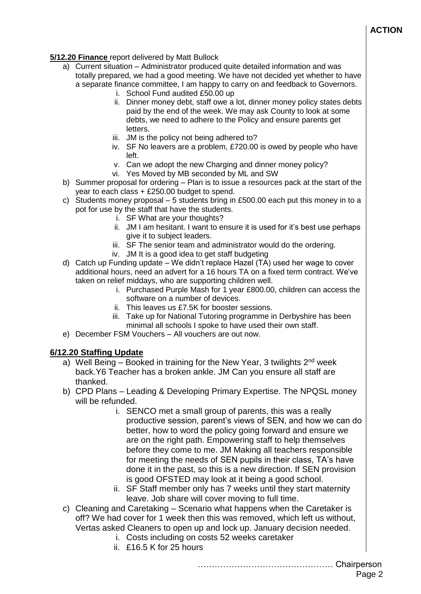# **ACTION**

### **5/12.20 Finance** report delivered by Matt Bullock

- a) Current situation Administrator produced quite detailed information and was totally prepared, we had a good meeting. We have not decided yet whether to have a separate finance committee, I am happy to carry on and feedback to Governors.
	- i. School Fund audited £50.00 up
	- ii. Dinner money debt, staff owe a lot, dinner money policy states debts paid by the end of the week. We may ask County to look at some debts, we need to adhere to the Policy and ensure parents get letters.
	- iii. JM is the policy not being adhered to?
	- iv. SF No leavers are a problem, £720.00 is owed by people who have left.
	- v. Can we adopt the new Charging and dinner money policy?
	- vi. Yes Moved by MB seconded by ML and SW
- b) Summer proposal for ordering Plan is to issue a resources pack at the start of the year to each class + £250.00 budget to spend.
- c) Students money proposal 5 students bring in £500.00 each put this money in to a pot for use by the staff that have the students.
	- i. SF What are your thoughts?
	- ii. JM I am hesitant. I want to ensure it is used for it's best use perhaps give it to subject leaders.
	- iii. SF The senior team and administrator would do the ordering.
	- iv. JM It is a good idea to get staff budgeting
- d) Catch up Funding update We didn't replace Hazel (TA) used her wage to cover additional hours, need an advert for a 16 hours TA on a fixed term contract. We've taken on relief middays, who are supporting children well.
	- i. Purchased Purple Mash for 1 year £800.00, children can access the software on a number of devices.
	- ii. This leaves us £7.5K for booster sessions.
	- iii. Take up for National Tutoring programme in Derbyshire has been minimal all schools I spoke to have used their own staff.
- e) December FSM Vouchers All vouchers are out now.

## **6/12.20 Staffing Update**

- a) Well Being Booked in training for the New Year, 3 twilights  $2<sup>nd</sup>$  week back.Y6 Teacher has a broken ankle. JM Can you ensure all staff are thanked.
- b) CPD Plans Leading & Developing Primary Expertise. The NPQSL money will be refunded.
	- i. SENCO met a small group of parents, this was a really productive session, parent's views of SEN, and how we can do better, how to word the policy going forward and ensure we are on the right path. Empowering staff to help themselves before they come to me. JM Making all teachers responsible for meeting the needs of SEN pupils in their class, TA's have done it in the past, so this is a new direction. If SEN provision is good OFSTED may look at it being a good school.
	- ii. SF Staff member only has 7 weeks until they start maternity leave. Job share will cover moving to full time.
- c) Cleaning and Caretaking Scenario what happens when the Caretaker is off? We had cover for 1 week then this was removed, which left us without, Vertas asked Cleaners to open up and lock up. January decision needed.
	- i. Costs including on costs 52 weeks caretaker
	- ii. £16.5 K for 25 hours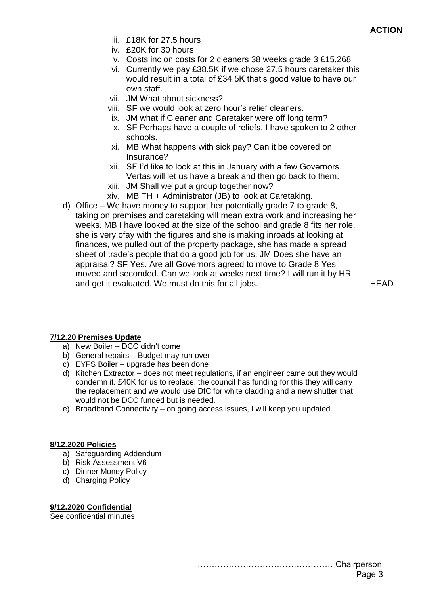- iii. £18K for 27.5 hours
- iv. £20K for 30 hours
- v. Costs inc on costs for 2 cleaners 38 weeks grade 3 £15,268
- vi. Currently we pay £38.5K if we chose 27.5 hours caretaker this would result in a total of £34.5K that's good value to have our own staff.
- vii. JM What about sickness?
- viii. SF we would look at zero hour's relief cleaners.
- ix. JM what if Cleaner and Caretaker were off long term?
- x. SF Perhaps have a couple of reliefs. I have spoken to 2 other schools.
- xi. MB What happens with sick pay? Can it be covered on Insurance?
- xii. SF I'd like to look at this in January with a few Governors. Vertas will let us have a break and then go back to them.
- xiii. JM Shall we put a group together now?
- xiv. MB TH + Administrator (JB) to look at Caretaking.
- d) Office We have money to support her potentially grade 7 to grade 8, taking on premises and caretaking will mean extra work and increasing her weeks. MB I have looked at the size of the school and grade 8 fits her role, she is very ofay with the figures and she is making inroads at looking at finances, we pulled out of the property package, she has made a spread sheet of trade's people that do a good job for us. JM Does she have an appraisal? SF Yes. Are all Governors agreed to move to Grade 8 Yes moved and seconded. Can we look at weeks next time? I will run it by HR and get it evaluated. We must do this for all jobs.

**HFAD** 

#### **7/12.20 Premises Update**

- a) New Boiler DCC didn't come
- b) General repairs Budget may run over
- c) EYFS Boiler upgrade has been done
- d) Kitchen Extractor does not meet regulations, if an engineer came out they would condemn it. £40K for us to replace, the council has funding for this they will carry the replacement and we would use DfC for white cladding and a new shutter that would not be DCC funded but is needed.
- e) Broadband Connectivity on going access issues, I will keep you updated.

#### **8/12.2020 Policies**

- a) Safeguarding Addendum
- b) Risk Assessment V6
- c) Dinner Money Policy
- d) Charging Policy

#### **9/12.2020 Confidential**

See confidential minutes

………………………………………… Chairperson Page 3